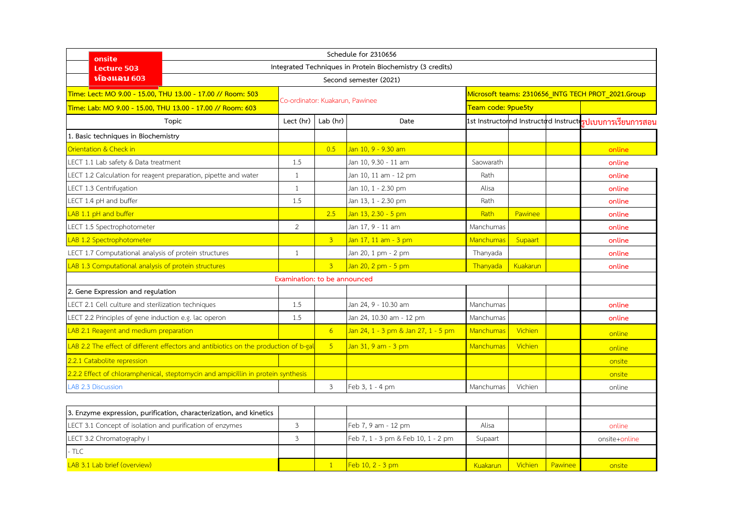| onsite                                                                                                                    | Schedule for 2310656                                               |                                 |                |                                     |                                                    |          |                |                                                           |  |  |
|---------------------------------------------------------------------------------------------------------------------------|--------------------------------------------------------------------|---------------------------------|----------------|-------------------------------------|----------------------------------------------------|----------|----------------|-----------------------------------------------------------|--|--|
| <b>Lecture 503</b>                                                                                                        | Integrated Techniques in Protein Biochemistry (3 credits)          |                                 |                |                                     |                                                    |          |                |                                                           |  |  |
| ห้องแลบ 603                                                                                                               |                                                                    | Second semester (2021)          |                |                                     |                                                    |          |                |                                                           |  |  |
| Time: Lect: MO 9.00 - 15.00, THU 13.00 - 17.00 // Room: 503<br>Time: Lab: MO 9.00 - 15.00, THU 13.00 - 17.00 // Room: 603 |                                                                    |                                 |                |                                     | Microsoft teams: 2310656_INTG TECH PROT_2021.Group |          |                |                                                           |  |  |
|                                                                                                                           |                                                                    | Co-ordinator: Kuakarun, Pawinee |                |                                     | Team code: 9pue5ty                                 |          |                |                                                           |  |  |
| Topic                                                                                                                     |                                                                    | Lect (hr)                       | Lab (hr)       | Date                                |                                                    |          |                | 1st Instructornd Instructod Instruct รูปเบบการเรียนการสอน |  |  |
| 1. Basic techniques in Biochemistry                                                                                       |                                                                    |                                 |                |                                     |                                                    |          |                |                                                           |  |  |
| Orientation & Check in                                                                                                    |                                                                    |                                 | 0.5            | Jan 10, 9 - 9.30 am                 |                                                    |          |                | online                                                    |  |  |
| LECT 1.1 Lab safety & Data treatment                                                                                      |                                                                    | 1.5                             |                | Jan 10, 9.30 - 11 am                | Saowarath                                          |          |                | online                                                    |  |  |
|                                                                                                                           | LECT 1.2 Calculation for reagent preparation, pipette and water    | 1                               |                | Jan 10, 11 am - 12 pm               | Rath                                               |          |                | online                                                    |  |  |
| LECT 1.3 Centrifugation                                                                                                   |                                                                    | $\mathbf{1}$                    |                | Jan 10, 1 - 2.30 pm                 | Alisa                                              |          |                | online                                                    |  |  |
| LECT 1.4 pH and buffer                                                                                                    |                                                                    | 1.5                             |                | Jan 13, 1 - 2.30 pm                 | Rath                                               |          |                | online                                                    |  |  |
| LAB 1.1 pH and buffer                                                                                                     |                                                                    |                                 | 2.5            | Jan 13, 2.30 - 5 pm                 | Rath                                               | Pawinee  |                | online                                                    |  |  |
| LECT 1.5 Spectrophotometer                                                                                                |                                                                    | $\overline{2}$                  |                | Jan 17, 9 - 11 am                   | Manchumas                                          |          |                | online                                                    |  |  |
| LAB 1.2 Spectrophotometer                                                                                                 |                                                                    |                                 | $\overline{3}$ | Jan 17, 11 am - 3 pm                | Manchumas                                          | Supaart  |                | online                                                    |  |  |
| LECT 1.7 Computational analysis of protein structures                                                                     |                                                                    | 1                               |                | Jan 20, 1 pm - 2 pm                 | Thanyada                                           |          |                | online                                                    |  |  |
| LAB 1.3 Computational analysis of protein structures                                                                      |                                                                    |                                 | $\overline{3}$ | Jan 20, 2 pm - 5 pm                 | Thanyada                                           | Kuakarun |                | online                                                    |  |  |
| Examination: to be announced                                                                                              |                                                                    |                                 |                |                                     |                                                    |          |                |                                                           |  |  |
| 2. Gene Expression and regulation                                                                                         |                                                                    |                                 |                |                                     |                                                    |          |                |                                                           |  |  |
| LECT 2.1 Cell culture and sterilization techniques                                                                        |                                                                    | 1.5                             |                | Jan 24, 9 - 10.30 am                | Manchumas                                          |          |                | online                                                    |  |  |
| LECT 2.2 Principles of gene induction e.g. lac operon                                                                     |                                                                    | 1.5                             |                | Jan 24, 10.30 am - 12 pm            | Manchumas                                          |          |                | online                                                    |  |  |
| LAB 2.1 Reagent and medium preparation                                                                                    |                                                                    |                                 | 6              | Jan 24, 1 - 3 pm & Jan 27, 1 - 5 pm | Manchumas                                          | Vichien  |                | online                                                    |  |  |
| LAB 2.2 The effect of different effectors and antibiotics on the production of b-gal                                      |                                                                    |                                 | 5 <sup>5</sup> | Jan 31, 9 am - 3 pm                 | Manchumas                                          | Vichien  |                | online                                                    |  |  |
| 2.2.1 Catabolite repression                                                                                               |                                                                    |                                 |                |                                     |                                                    |          |                | onsite                                                    |  |  |
| 2.2.2 Effect of chloramphenical, steptomycin and ampicillin in protein synthesis                                          |                                                                    |                                 |                |                                     |                                                    |          |                | onsite                                                    |  |  |
| <b>LAB 2.3 Discussion</b>                                                                                                 |                                                                    |                                 | 3              | Feb 3, 1 - 4 pm                     | Manchumas                                          | Vichien  |                | online                                                    |  |  |
|                                                                                                                           |                                                                    |                                 |                |                                     |                                                    |          |                |                                                           |  |  |
|                                                                                                                           | 3. Enzyme expression, purification, characterization, and kinetics |                                 |                |                                     |                                                    |          |                |                                                           |  |  |
| LECT 3.1 Concept of isolation and purification of enzymes                                                                 |                                                                    | 3                               |                | Feb 7, 9 am - 12 pm                 | Alisa                                              |          |                | online                                                    |  |  |
| LECT 3.2 Chromatography I                                                                                                 |                                                                    | 3                               |                | Feb 7, 1 - 3 pm & Feb 10, 1 - 2 pm  | Supaart                                            |          |                | onsite+online                                             |  |  |
| - TLC                                                                                                                     |                                                                    |                                 |                |                                     |                                                    |          |                |                                                           |  |  |
| LAB 3.1 Lab brief (overview)                                                                                              |                                                                    |                                 | $1 -$          | Feb $10, 2 - 3$ pm                  | Kuakarun                                           | Vichien  | <b>Pawinee</b> | onsite                                                    |  |  |